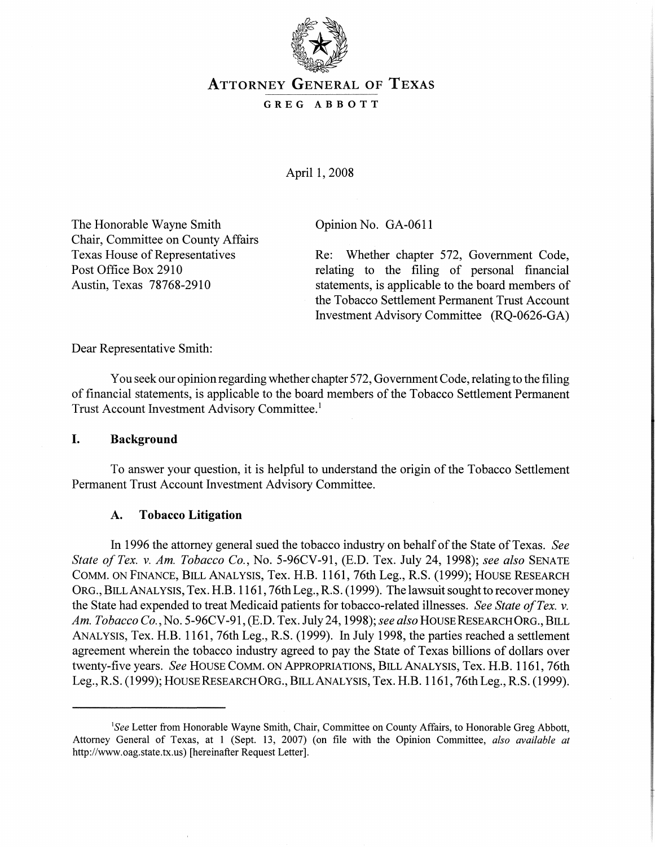

# ATTORNEY GENERAL OF TEXAS

### GREG ABBOTT

April 1, 2008

The Honorable Wayne Smith Chair, Committee on County Affairs Texas House of Representatives Post Office Box 2910 Austin, Texas 78768-2910

Opinion No. GA-0611

Re: Whether chapter 572, Government Code, relating to the filing of personal financial statements, is applicable to the board members of the Tobacco Settlement Permanent Trust Account Investment Advisory Committee (RQ-0626-GA)

Dear Representative Smith:

You seek our opinion regarding whether chapter 572, Government Code, relating to the filing of financial statements, is applicable to the board members of the Tobacco Settlement Permanent Trust Account Investment Advisory Committee. <sup>1</sup>

# **I. Background**

To answer your question, it is helpful to understand the origin of the Tobacco Settlement Permanent Trust Account Investment Advisory Committee.

# **A. Tobacco Litigation**

In 1996 the attorney general sued the tobacco industry on behalf ofthe State ofTexas. *See State of Tex.* v. *Am. Tobacco Co.,* No. 5-96CV-91, (E.D. Tex. July 24, 1998); *see also* SENATE COMM. ON FINANCE, BILL ANALYSIS, Tex. H.B. 1161, 76th Leg., R.S. (1999); HOUSE RESEARCH ORG., BILLANALYSIS, Tex. H.B. 1161, 76th Leg., R.S. (1999). The lawsuit sought to recover money the State had expended to treat Medicaid patients for tobacco-related illnesses. *See State ofTex.* v. *Am. Tobacco Co.,* No. 5-96CV-91, (E.D. Tex. July 24, 1998); *see also* HOUSEREsEARCHORG., BILL ANALYSIS, Tex. H.B. 1161, 76th Leg., R.S. (1999). In July 1998, the parties reached a settlement agreement wherein the tobacco industry agreed to pay the State of Texas billions of dollars over twenty-five years. *See* HOUSE COMM. ON APPROPRIATIONS, BILL ANALYSIS, Tex. H.B. 1161, 76th Leg., R.S. (1999); HOUSE RESEARCH ORG., BILLANALYSIS, Tex. H.B. 1161, 76th Leg., R.S. (1999).

<sup>&</sup>lt;sup>1</sup>See Letter from Honorable Wayne Smith, Chair, Committee on County Affairs, to Honorable Greg Abbott, Attorney General of Texas, at 1 (Sept. 13, 2007) (on file with the Opinion Committee, *also available at* http://www.oag.state.tx.us) [hereinafter Request Letter].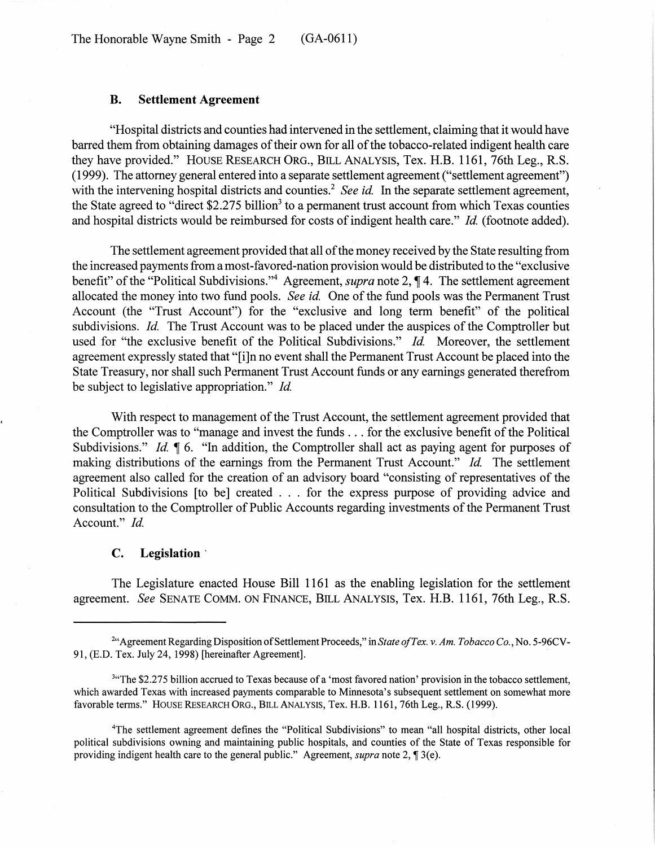The Honorable Wayne Smith - Page 2 (GA-0611)

### B. Settlement Agreement

"Hospital districts and counties had intervened in the settlement, claiming that it would have barred them from obtaining damages of their own for all of the tobacco-related indigent health care they have provided." HOUSE RESEARCH ORG., BILL ANALYSIS, Tex. H.B. 1161, 76th Leg., R.S. (1999). The attorney general entered into a separate settlement agreement ("settlement agreement") with the intervening hospital districts and counties.<sup>2</sup> *See id.* In the separate settlement agreement, the State agreed to "direct  $$2.275$  billion<sup>3</sup> to a permanent trust account from which Texas counties and hospital districts would be reimbursed for costs of indigent health care." *Id.* (footnote added).

The settlement agreement provided that all of the money received by the State resulting from the increased payments from a most-favored-nation provision would be distributed to the "exclusive" benefit" of the "Political Subdivisions."<sup>4</sup> Agreement, *supra* note 2, ¶ 4. The settlement agreement allocated the money into two fund pools. *See id.* One of the fund pools was the Permanent Trust Account (the "Trust Account") for the "exclusive and long term benefit" of the political subdivisions. *Id.* The Trust Account was to be placed under the auspices of the Comptroller but used for "the exclusive benefit of the Political Subdivisions." *Id.* Moreover, the settlement agreement expressly stated that "[i]n no event shall the Permanent Trust Account be placed into the State Treasury, nor shall such Permanent Trust Account funds or any earnings generated therefrom be subject to legislative appropriation." *Id*

With respect to management of the Trust Account, the settlement agreement provided that the Comptroller was to "manage and invest the funds  $\dots$  for the exclusive benefit of the Political Subdivisions." *Id.*  $\parallel$  6. "In addition, the Comptroller shall act as paying agent for purposes of making distributions of the earnings from the Permanent Trust Account." *Id.* The settlement agreement also called for the creation of an advisory board "consisting of representatives of the Political Subdivisions [to be] created ... for the express purpose of providing advice and consultation to the Comptroller of Public Accounts regarding investments of the Permanent Trust Account." *Id.*

#### c. Legislation'

The Legislature enacted House Bill 1161 as the enabling legislation for the settlement agreement. *See* SENATE COMM. ON FINANCE, BILL ANALYSIS, Tex. H.B. 1161, 76th Leg., R.S.

<sup>&</sup>lt;sup>2"</sup>Agreement Regarding Disposition of Settlement Proceeds," in *State of Tex. v. Am. Tobacco Co.*, No. 5-96CV-91, (E.D. Tex. July 24, 1998) [hereinafter Agreement].

<sup>&</sup>lt;sup>3</sup>"The \$2.275 billion accrued to Texas because of a 'most favored nation' provision in the tobacco settlement, which awarded Texas with increased payments comparable to Minnesota's subsequent settlement on somewhat more favorable terms." HOUSE RESEARCH ORG., BILL ANALYSIS, Tex. H.B. 1161, 76th Leg., R.S. (1999).

<sup>4</sup>The settlement agreement defines the "Political Subdivisions" to mean "all hospital districts, other local political subdivisions owning and maintaining public hospitals, and counties of the State of Texas responsible for providing indigent health care to the general public." Agreement, *supra* note 2, ¶ 3(e).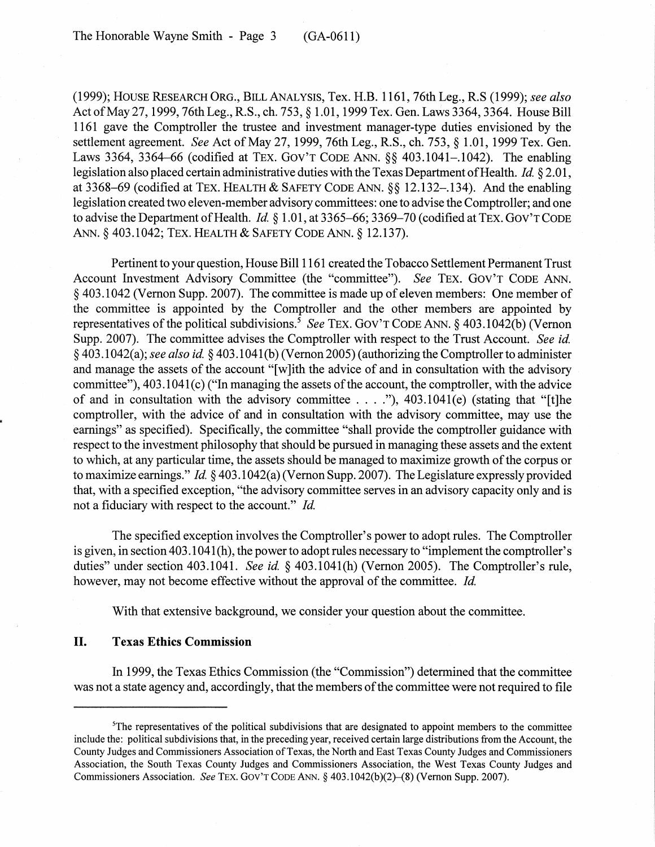(1999); HOUSE RESEARCH ORG., BILL ANALYSIS, Tex. H.B. 1161, 76th Leg., R.S (1999); *see also* Act of May 27, 1999, 76th Leg., R.S., ch. 753, § 1.01, 1999 Tex. Gen. Laws 3364, 3364. House Bill 1161 gave the Comptroller the trustee and investment manager-type duties envisioned by the settlement agreement. *See* Act of May 27,1999, 76th Leg., R.S., ch. 753, § 1.01,1999 Tex. Gen. Laws 3364, 3364–66 (codified at TEX. GOV'T CODE ANN. §§ 403.1041–1042). The enabling legislation also placed certain administrative duties with the Texas Department of Health. *Id.* § 2.01, at 3368-69 (codified at TEX. HEALTH & SAFETY CODE ANN. §§ 12.132-.134). And the enabling legislation created two eleven-member advisory committees: one to advise the Comptroller; and one to advise the Department of Health. *Id.* § 1.01, at 3365–66; 3369–70 (codified at TEX. GOV'T CODE ANN. § 403.1042; TEX. HEALTH & SAFETY CODE ANN. § 12.137).

Pertinent to your question, House Bill 1161 created the Tobacco Settlement Permanent Trust Account Investment Advisory Committee (the "committee"). *See* TEX. GOV'T CODE ANN. § 403.1042 (Vernon Supp. 2007). The committee is made up of eleven members: One member of the committee is appointed by the Comptroller and the other members are appointed by representatives of the political subdivisions.<sup>5</sup> See TEX. GOV'T CODE ANN. § 403.1042(b) (Vernon Supp. 2007). The committee advises the Comptroller with respect to the Trust Account. *See id.* § 403.1 042(a); *see also ide* § 403.1041(b) (Vernon 2005) (authorizing the Comptrollerto administer and manage the assets of the account "[w]ith the advice of and in consultation with the advisory committee"),  $403.1041(c)$  ("In managing the assets of the account, the comptroller, with the advice of and in consultation with the advisory committee  $\dots$ ..."), 403.1041(e) (stating that "[t]he comptroller, with the advice of and in consultation with the advisory committee, may use the earnings" as specified). Specifically, the committee "shall provide the comptroller guidance with respect to the investment philosophy that should be pursued in managing these assets and the extent to which, at any particular time, the assets should be managed to maximize growth of the corpus or to maximize earnings." *Id.* §403.1042(a) (Vernon Supp. 2007). The Legislature expressly provided that, with a specified exception, "the advisory committee serves in an advisory capacity only and is not a fiduciary with respect to the account." *Id.*

The specified exception involves the Comptroller's power to adopt rules. The Comptroller is given, in section 403.1041(h), the power to adopt rules necessary to "implement the comptroller's duties" under section 403.1041. *See id.* § 403.1041(h) (Vernon 2005). The Comptroller's rule, however, may not become effective without the approval of the committee. *Id.* 

With that extensive background, we consider your question about the committee.

# II. Texas Ethics Commission

In 1999, the Texas Ethics Commission (the "Commission") determined that the committee was not a state agency and, accordingly, that the members of the committee were not required to file

<sup>&</sup>lt;sup>5</sup>The representatives of the political subdivisions that are designated to appoint members to the committee include the: political subdivisions that, in the preceding year, received certain large distributions from the Account, the County Judges and Commissioners Association of Texas, the North and East Texas County Judges and Commissioners Association, the South Texas County Judges and Commissioners Association, the West Texas County Judges and Commissioners Association. *See* TEX. GOV'T CODE ANN. § 403.1 042(b)(2)-(8) (Vernon Supp. 2007).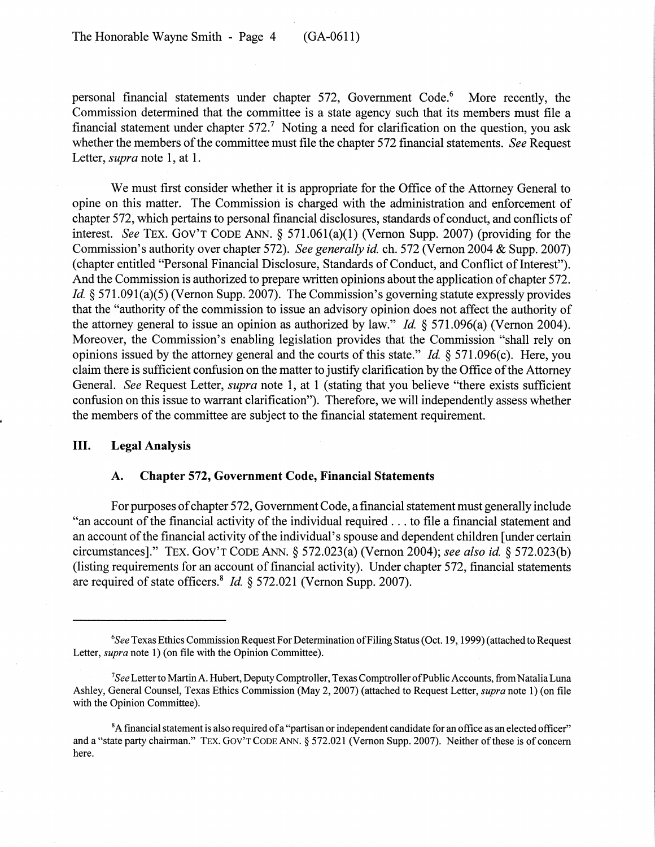personal financial statements under chapter 572, Government Code.<sup>6</sup> More recently, the Commission determined that the committee is a state agency such that its members must file a financial statement under chapter  $572<sup>7</sup>$ . Noting a need for clarification on the question, you ask whether the members of the committee must file the chapter 572 financial statements. *See* Request Letter, *supra* note 1, at 1.

We must first consider whether it is appropriate for the Office of the Attorney General to opine on this matter. The Commission is charged with the administration and enforcement of chapter 572, which pertains to personal financial disclosures, standards of conduct, and conflicts of interest. *See* TEX. GOV'T CODE ANN. § 571.061(a)(I) (Vernon Supp. 2007) (providing for the Commission's authority over chapter 572). *See generally id.* ch. 572 (Vernon 2004 & Supp. 2007) (chapter entitled "Personal Financial Disclosure, Standards of Conduct, and Conflict of Interest"). And the Commission is authorized to prepare written opinions about the application of chapter 572. *Id.* § 571.091(a)(5) (Vernon Supp. 2007). The Commission's governing statute expressly provides that the "authority of the commission to issue an advisory opinion does not affect the authority of the attorney general to issue an opinion as authorized by law." *Id.* § 571.096(a} (Vernon 2004). Moreover, the Commission's enabling legislation provides that the Commission "shall rely on opinions issued by the attorney general and the courts of this state." *Id.*  $\S$  571.096(c). Here, you claim there is sufficient confusion on the matter to justify clarification by the Office of the Attorney General. *See* Request Letter, *supra* note 1, at 1 (stating that you believe "there exists sufficient confusion on this issue to warrant clarification"). Therefore, we will independently assess whether the members of the committee are subject to the financial statement requirement.

### III. Legal Analysis

## A. Chapter 572, Government Code, Financial Statements

For purposes of chapter 572, Government Code, a financial statement must generally include "an account of the financial activity of the individual required ... to file a financial statement and an account of the financial activity of the individual's spouse and dependent children [under certain] circumstances]." TEX. GOV'T CODE ANN. § 572.023(a) (Vernon 2004); *see also id.* § 572.023(b) (listing requirements for an account of financial activity). Under chapter 572, financial statements are required of state officers.<sup>8</sup> *Id.* § 572.021 (Vernon Supp. 2007).

*<sup>6</sup>See* Texas Ethics Commission Request For Determination ofFiling Status(Oct. 19, 1999) (attached to Request Letter, *supra* note 1) (on file with the Opinion Committee).

<sup>7</sup>*See* Letterto MartinA. Hubert, Deputy Comptroller, Texas Comptroller ofPublic Accounts, from NataliaLuna Ashley, General Counsel, Texas Ethics Commission (May 2, 2007) (attached to Request Letter, *supra* note 1) (on file with the Opinion Committee).

 ${}^8A$  financial statement is also required of a "partisan or independent candidate for an office as an elected officer" and a "state party chairman." TEX. GOV'T CODE ANN. § 572.021 (Vernon Supp. 2007). Neither of these is of concern here.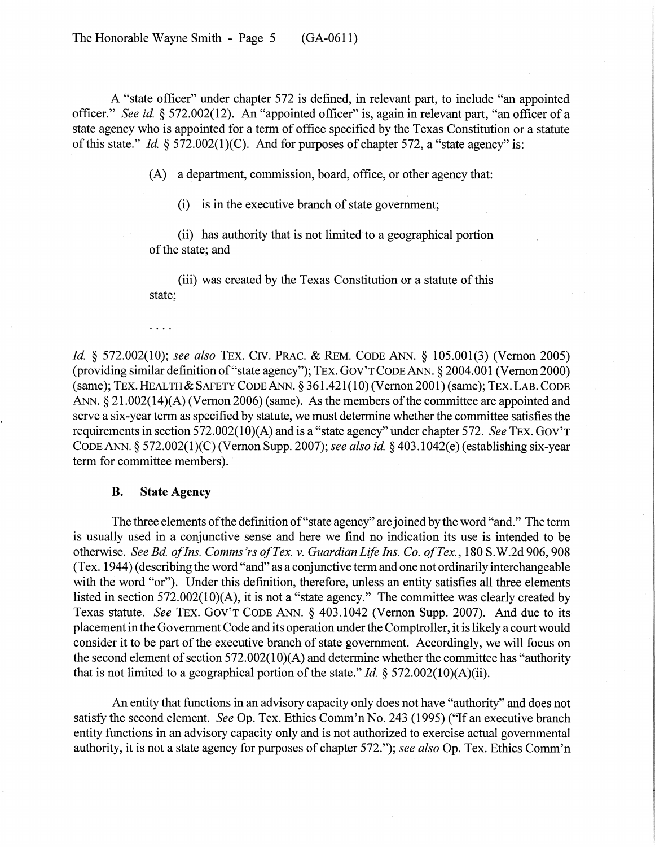The Honorable Wayne Smith - Page 5 (GA-0611)

A "state officer" under chapter 572 is defined, in relevant part, to include "an appointed officer." *See id.* § 572.002(12). An "appointed officer" is, again in relevant part, "an officer of a state agency who is appointed for a term of office specified by the Texas Constitution or a statute of this state." *Id.*  $\frac{572.002(1)(C)}{2}$ . And for purposes of chapter 572, a "state agency" is:

(A) a department, commission, board, office, or other agency that:

 $(i)$  is in the executive branch of state government;

(ii) has authority that is not limited to a geographical portion of the state; and

(iii) was created by the Texas Constitution or a statute of this state;

 $\cdots$ 

*Id.* § 572.002(10); *see also* TEX. CIV. PRAC. & REM. CODE ANN. § 105.001(3) (Vernon 2005) (providing similar definition of"state agency"); TEX. GOV'T CODE ANN. § 2004.001 (Vernon 2000) (same); TEX. HEALTH & SAFETY CODE ANN. § 361.421(10) (Vernon 2001) (same); TEX. LAB. CODE ANN.  $\S 21.002(14)(A)$  (Vernon 2006) (same). As the members of the committee are appointed and serve a six-year term as specified by statute, we must determine whether the committee satisfies the requirements in section 572.002(1O)(A) and is a "state agency" under chapter 572. *See* TEX. GOV'T CODE ANN. § 572.002(1)(C) (Vernon Supp. 2007); *see also id.* § 403.1042(e) (establishing six-year term for committee members).

### B. State Agency

The three elements of the definition of "state agency" are joined by the word "and." The term is usually used in a conjunctive sense and here we find no indication its use is intended to be otherwise. *SeeBd. o/Ins. Comms'rsofTex.* v. *Guardian Life Ins. Co. ofTex.,* 180 S.W.2d906, 908 (Tex. 1944) (describing the word "and" as a conjunctive term and one not ordinarily interchangeable with the word "or"). Under this definition, therefore, unless an entity satisfies all three elements listed in section 572.002(10)(A), it is not a "state agency." The committee was clearly created by Texas statute. *See* TEX. GOV'T CODE ANN. § 403.1042 (Vernon Supp. 2007). And due to its placement in the Government Code and its operation underthe Comptroller, it is likely a court would consider it to be part of the executive branch of state government. Accordingly, we will focus on the second element of section  $572.002(10)(A)$  and determine whether the committee has "authority" that is not limited to a geographical portion of the state." *Id.* § 572.002(10)(A)(ii).

An entity that functions in an advisory capacity only does not have "authority" and does not satisfy the second element. *See* Op. Tex. Ethics Comm'n No. 243 (1995) ("If an executive branch entity functions in an advisory capacity only and is not authorized to exercise actual governmental authority, it is not a state agency for purposes of chapter 572."); *see also* Op. Tex. Ethics Comm'n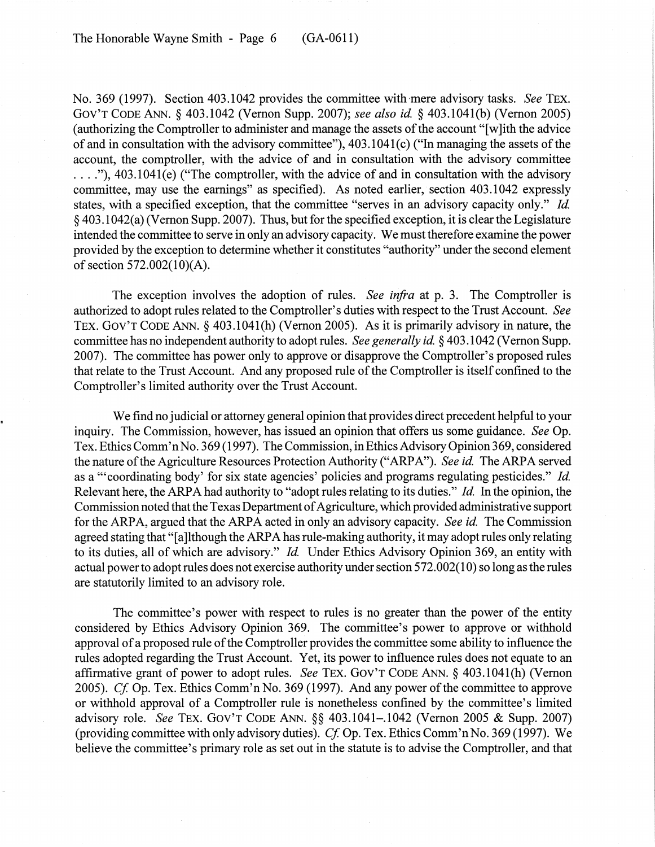No. 369 (1997). Section 403.1042 provides the committee with-mere advisory tasks. *See* TEX. GOV'T CODE ANN. § 403.1042 (Vernon Supp. 2007); *see also ide* § 403.1041(b) (Vernon 2005) (authorizing the Comptroller to administer and manage the assets of the account "[w] ith the advice of and in consultation with the advisory committee"),  $403.1041(c)$  ("In managing the assets of the account, the comptroller, with the advice of and in consultation with the advisory committee ...."), 403.1041(e) ("The comptroller, with the advice of and in consultation with the advisory committee, may use the earnings" as specified). As noted earlier, section 403.1042 expressly states, with a specified exception, that the committee "serves in an advisory capacity only." *Id.* § 403.1 042(a) (Vernon Supp. 2007). Thus, but for the specified exception, it is clear the Legislature intended the committee to serve in only an advisory capacity. We must therefore examine the power provided by the exception to determine whether it constitutes "authority" under the second element of section  $572.002(10)(A)$ .

The exception involves the adoption of rules. *See infra* at p. 3. The Comptroller is authorized to adopt rules related to the Comptroller's duties with respect to the Trust Account. *See* TEX. GOV'T CODE ANN. § 403.1041(h) (Vernon 2005). As it is primarily advisory in nature, the committee has no independent authority to adopt rules. *See generally id.* § 403.1042 (Vernon Supp. 2007). The committee has power only to approve or disapprove the Comptroller's proposed rules that relate to the Trust Account. And any proposed rule of the Comptroller is itself confined to the Comptroller's limited authority over the Trust Account.

We find no judicial or attorney general opinion that provides direct precedent helpful to your inquiry. The Commission, however, has issued an opinion that offers us some guidance. *See* Op. Tex. Ethics Comm'nNo. 369 (1997). The Commission, in Ethics Advisory Opinion 369, considered the nature ofthe Agriculture Resources Protection Authority ("ARPA"). *See id* The ARPA served as a "'coordinating body' for six state agencies' policies and programs regulating pesticides." *Id.* Relevant here, the ARPA had authority to "adopt rules relating to its duties." *Id.* In the opinion, the Commission noted that the Texas Department of Agriculture, which provided administrative support for the ARPA, argued that the ARPA acted in only an advisory capacity. *See id.* The Commission agreed stating that "[a]lthough the ARPA has rule-making authority, it may adopt rules only relating to its duties, all of which are advisory." *Id.* Under Ethics Advisory Opinion 369, an entity with actual power to adopt rules does not exercise authority under section 572.002(10) so long as the rules are statutorily limited to an advisory role.

The committee's power with respect to rules is no greater than the power of the entity considered by Ethics Advisory Opinion 369. The committee's power to approve or withhold approval of a proposed rule of the Comptroller provides the committee some ability to influence the rules adopted regarding the Trust Account. Yet, its power to influence rules does not equate to an affirmative grant of power to adopt rules. *See* TEX. GOV'T CODE ANN. § 403.1041(h) (Vernon 2005). *Cf.* Op. Tex. Ethics Comm'n No. 369 (1997). And any power of the committee to approve or withhold approval of a Comptroller rule is nonetheless confined by the committee's limited advisory role. *See* TEX. GOV'T CODE ANN. §§ 403.1041-.1042 (Vernon 2005 & Supp. 2007) (providing committee with only advisory duties). *Cf.* Op. Tex. Ethics Comm'n No. 369 (1997). We believe the committee's primary role as set out in the statute is to advise the Comptroller, and that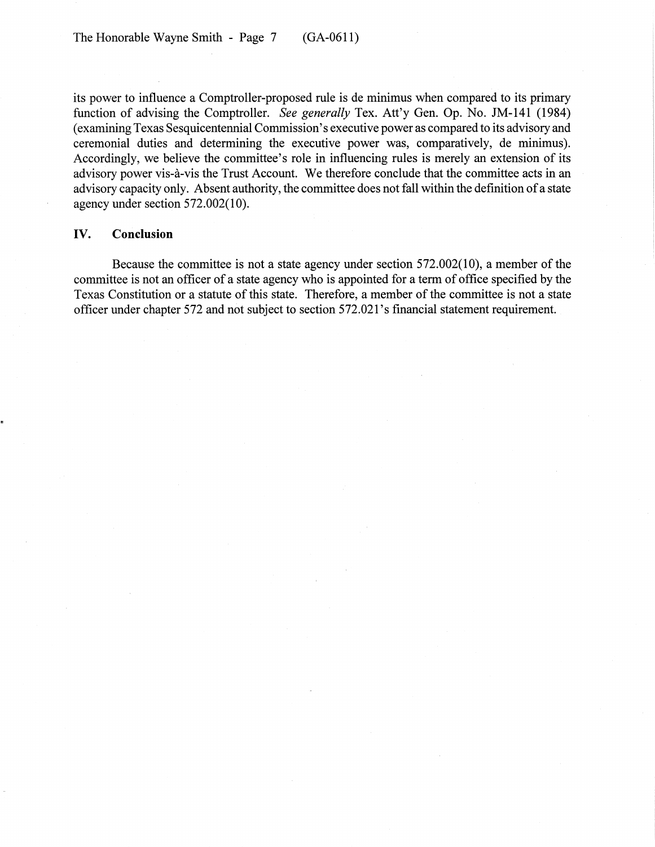its power to influence a Comptroller-proposed rule is de minimus when compared to its primary function of advising the Comptroller. *See generally* Tex. Att'y Gen. Op. No. JM-141 (1984) (examining Texas Sesquicentennial Commission's executive power as compared to its advisory and ceremonial duties and determining the executive power was, comparatively, de minimus). Accordingly, we believe the committee's role in influencing rules is merely an extension of its advisory power vis-à-vis the Trust Account. We therefore conclude that the committee acts in an advisory capacity only. Absent authority, the committee does not fall within the definition of a state agency under section 572.002(10).

# IV. Conclusion

Because the committee is not a state agency under section 572.002(10), a member of the committee is not an officer of a state agency who is appointed for a term of office specified by the Texas Constitution or a statute of this state. Therefore, a member of the committee is not a state officer under chapter 572 and not subject to section 572.021 's financial statement requirement.